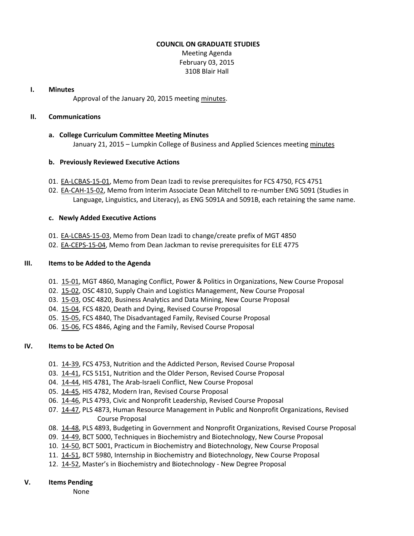#### **COUNCIL ON GRADUATE STUDIES**

Meeting Agenda February 03, 2015 3108 Blair Hall

#### **I. Minutes**

Approval of the January 20, 2015 meeting [minutes.](http://castle.eiu.edu/eiucgs/currentminutes/Minutes01-20-15.pdf)

## **II. Communications**

#### **a. College Curriculum Committee Meeting Minutes**

January 21, 2015 – Lumpkin College of Business and Applied Sciences meetin[g minutes](http://castle.eiu.edu/~eiucgs/currentagendaitems/LCBASMin01-21-15.pdf)

## **b. Previously Reviewed Executive Actions**

- 01. [EA-LCBAS-15-01,](http://castle.eiu.edu/~eiucgs/exec-actions/EA-LCBAS-15-01.pdf) Memo from Dean Izadi to revise prerequisites for FCS 4750, FCS 4751
- 02. [EA-CAH-15-02,](http://castle.eiu.edu/~eiucgs/exec-actions/EA-CAH-15-02.pdf) Memo from Interim Associate Dean Mitchell to re-number ENG 5091 (Studies in Language, Linguistics, and Literacy), as ENG 5091A and 5091B, each retaining the same name.

## **c. Newly Added Executive Actions**

- 01. [EA-LCBAS-15-03,](http://castle.eiu.edu/~eiucgs/exec-actions/EA-LCBAS-15-03.pdf) Memo from Dean Izadi to change/create prefix of MGT 4850
- 02. [EA-CEPS-15-04,](http://castle.eiu.edu/~eiucgs/exec-actions/EA-CEPS-15-04.pdf) Memo from Dean Jackman to revise prerequisites for ELE 4775

## **III. Items to be Added to the Agenda**

- 01. [15-01,](http://castle.eiu.edu/~eiucgs/currentagendaitems/agenda15-01.pdf) MGT 4860, Managing Conflict, Power & Politics in Organizations, New Course Proposal
- 02. [15-02,](http://castle.eiu.edu/~eiucgs/currentagendaitems/agenda15-02.pdf) OSC 4810, Supply Chain and Logistics Management, New Course Proposal
- 03. [15-03,](http://castle.eiu.edu/~eiucgs/currentagendaitems/agenda15-03.pdf) OSC 4820, Business Analytics and Data Mining, New Course Proposal
- 04. [15-04,](http://castle.eiu.edu/~eiucgs/currentagendaitems/agenda15-04.pdf) FCS 4820, Death and Dying, Revised Course Proposal
- 05. [15-05,](http://castle.eiu.edu/~eiucgs/currentagendaitems/agenda15-05.pdf) FCS 4840, The Disadvantaged Family, Revised Course Proposal
- 06. [15-06,](http://castle.eiu.edu/~eiucgs/currentagendaitems/agenda15-06.pdf) FCS 4846, Aging and the Family, Revised Course Proposal

# **IV. Items to be Acted On**

- 01. [14-39,](http://castle.eiu.edu/~eiucgs/currentagendaitems/agenda14-39.pdf) FCS 4753, Nutrition and the Addicted Person, Revised Course Proposal
- 03. [14-41,](http://castle.eiu.edu/~eiucgs/currentagendaitems/agenda14-41.pdf) FCS 5151, Nutrition and the Older Person, Revised Course Proposal
- 04. [14-44,](http://castle.eiu.edu/~eiucgs/currentagendaitems/agenda14-44.pdf) HIS 4781, The Arab-Israeli Conflict, New Course Proposal
- 05. [14-45,](http://castle.eiu.edu/~eiucgs/currentagendaitems/agenda14-45.pdf) HIS 4782, Modern Iran, Revised Course Proposal
- 06. [14-46,](http://castle.eiu.edu/~eiucgs/currentagendaitems/agenda14-46.pdf) PLS 4793, Civic and Nonprofit Leadership, Revised Course Proposal
- 07. [14-47,](http://castle.eiu.edu/~eiucgs/currentagendaitems/agenda14-47.pdf) PLS 4873, Human Resource Management in Public and Nonprofit Organizations, Revised Course Proposal
- 08. [14-48,](http://castle.eiu.edu/~eiucgs/currentagendaitems/agenda14-48.pdf) PLS 4893, Budgeting in Government and Nonprofit Organizations, Revised Course Proposal
- 09. [14-49,](http://castle.eiu.edu/~eiucgs/currentagendaitems/agenda14-49.pdf) BCT 5000, Techniques in Biochemistry and Biotechnology, New Course Proposal
- 10. [14-50,](http://castle.eiu.edu/~eiucgs/currentagendaitems/agenda14-50.pdf) BCT 5001, Practicum in Biochemistry and Biotechnology, New Course Proposal
- 11. [14-51,](http://castle.eiu.edu/~eiucgs/currentagendaitems/agenda14-51.pdf) BCT 5980, Internship in Biochemistry and Biotechnology, New Course Proposal
- 12. [14-52](http://castle.eiu.edu/~eiucgs/currentagendaitems/agenda14-52.pdf), Master's in Biochemistry and Biotechnology New Degree Proposal

## **V. Items Pending**

None